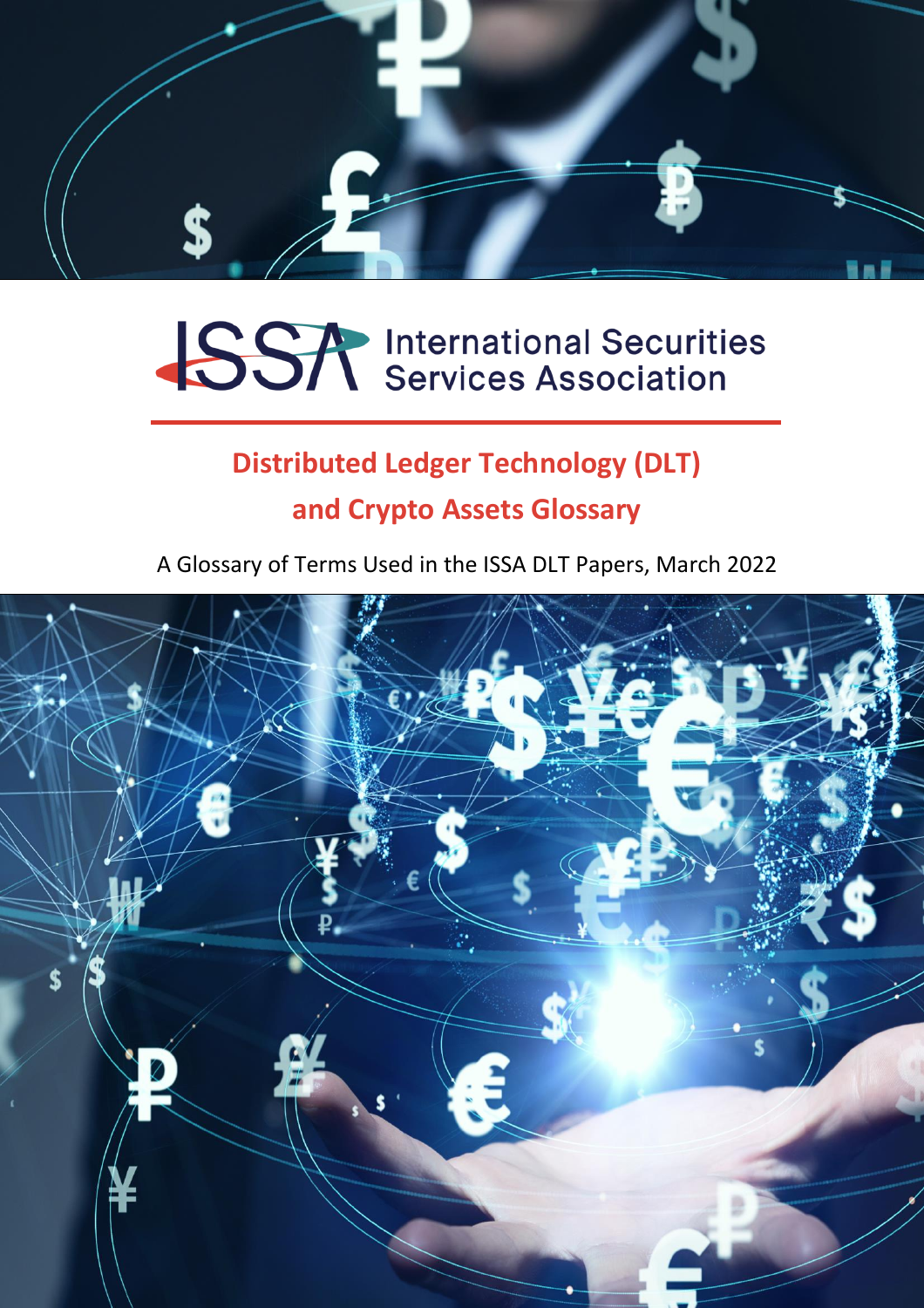

# **SSA** International Securities

### **Distributed Ledger Technology (DLT) and Crypto Assets Glossary**

A Glossary of Terms Used in the ISSA DLT Papers, March 2022

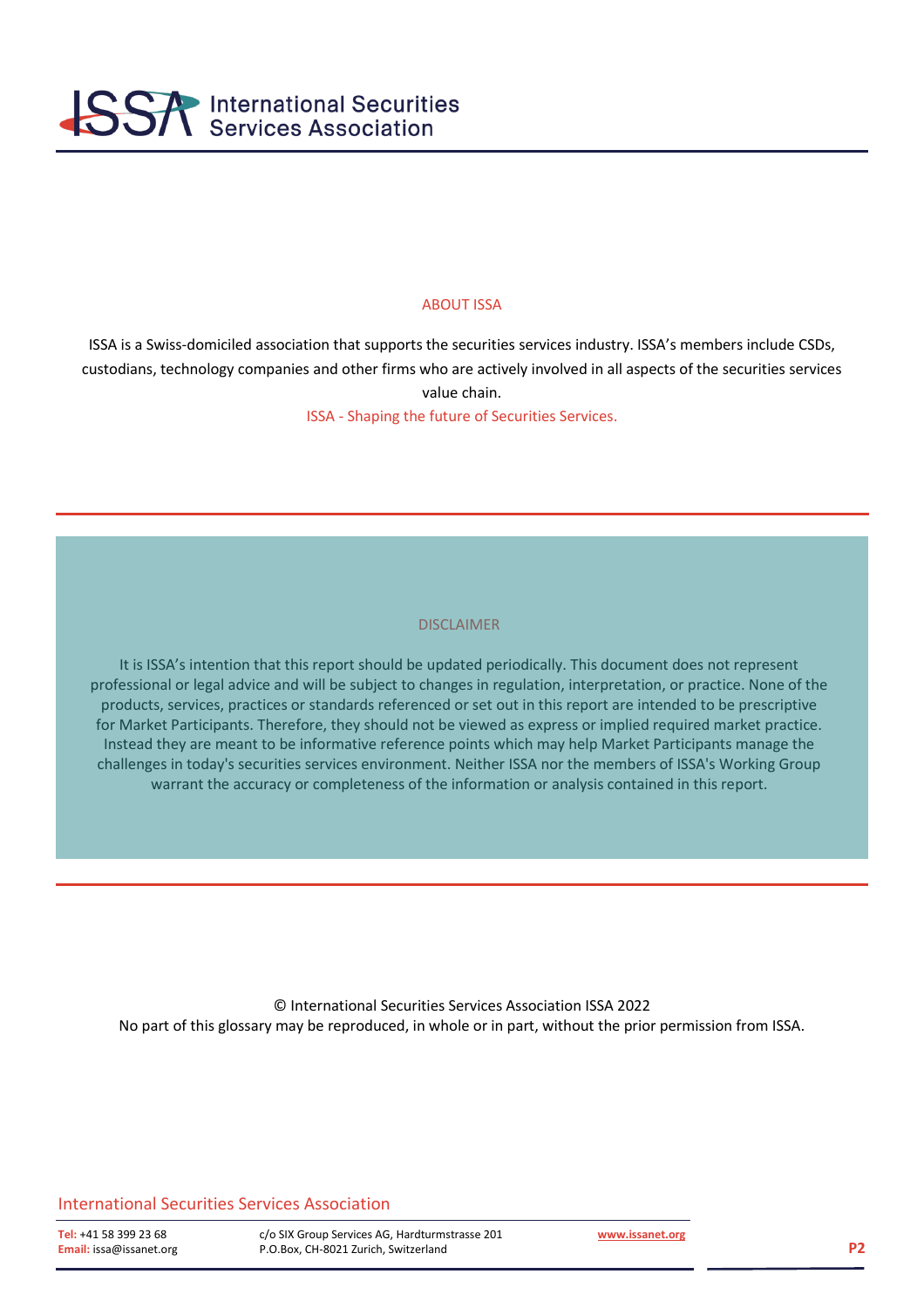

#### ABOUT ISSA

ISSA is a Swiss-domiciled association that supports the securities services industry. ISSA's members include CSDs, custodians, technology companies and other firms who are actively involved in all aspects of the securities services value chain.

ISSA - Shaping the future of Securities Services.

#### DISCLAIMER

It is ISSA's intention that this report should be updated periodically. This document does not represent professional or legal advice and will be subject to changes in regulation, interpretation, or practice. None of the products, services, practices or standards referenced or set out in this report are intended to be prescriptive for Market Participants. Therefore, they should not be viewed as express or implied required market practice. Instead they are meant to be informative reference points which may help Market Participants manage the challenges in today's securities services environment. Neither ISSA nor the members of ISSA's Working Group warrant the accuracy or completeness of the information or analysis contained in this report.

© International Securities Services Association ISSA 2022 No part of this glossary may be reproduced, in whole or in part, without the prior permission from ISSA.<br>

professional or legal advice and will be subject to changes in regulation, interpretation, or practice. None of the

#### International Securities Services Association and the information may help Market Participants may help Market

comallenges in today of the members of today's securities services and the members of the members of the members of the members of the members of the members of ISSA's Working Group Services AG, Hardturmstrasse 201 et.org **EXECURACY CH-8021 Zurich, Switzerland** in the information of the information or analysis contained in this report.

 **[www.issanet.org](http://www.issanet.org/)**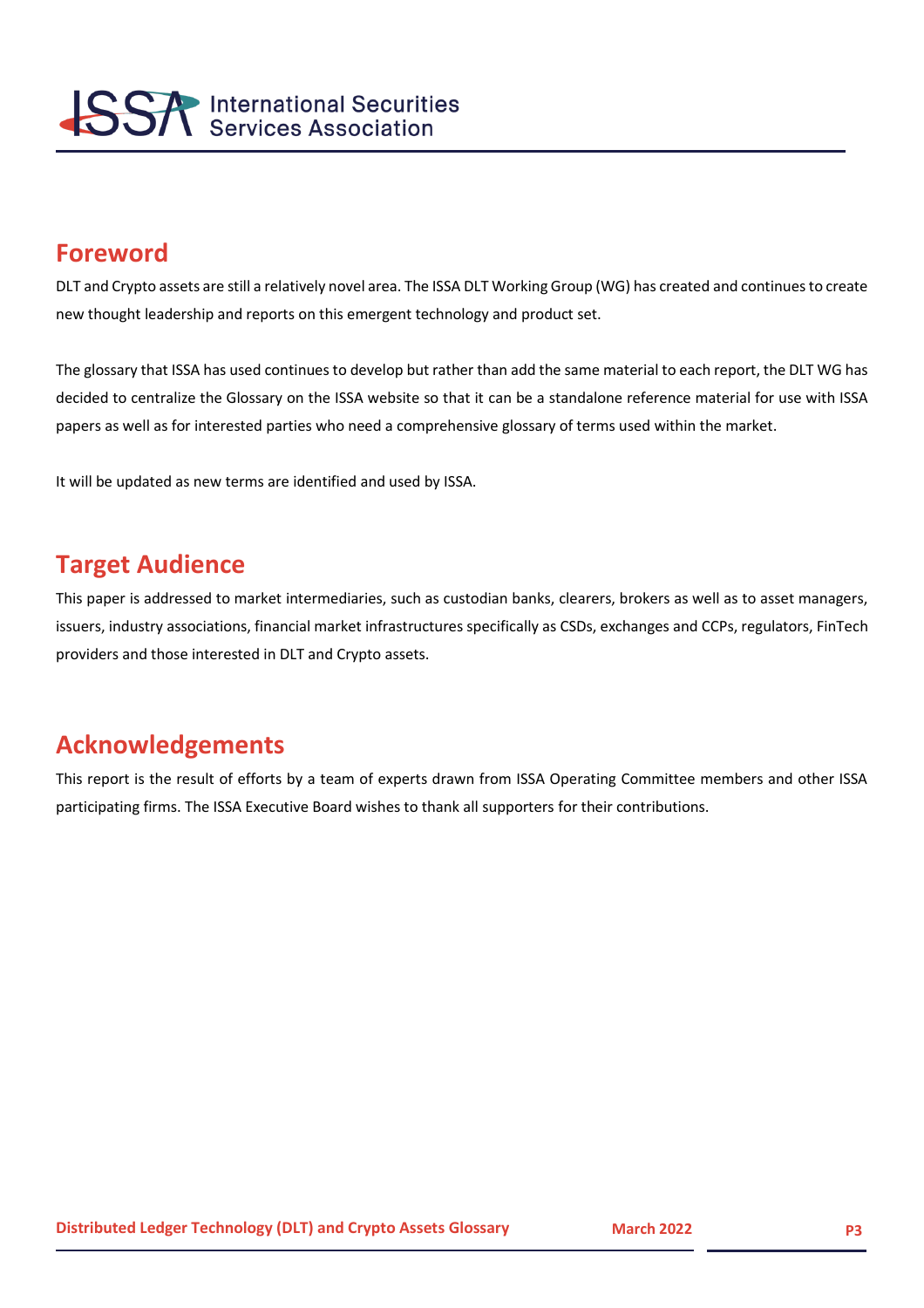

#### **Foreword**

DLT and Crypto assets are still a relatively novel area. The ISSA DLT Working Group (WG) has created and continues to create new thought leadership and reports on this emergent technology and product set.

The glossary that ISSA has used continues to develop but rather than add the same material to each report, the DLT WG has decided to centralize the Glossary on the ISSA website so that it can be a standalone reference material for use with ISSA papers as well as for interested parties who need a comprehensive glossary of terms used within the market.

It will be updated as new terms are identified and used by ISSA.

#### **Target Audience**

This paper is addressed to market intermediaries, such as custodian banks, clearers, brokers as well as to asset managers, issuers, industry associations, financial market infrastructures specifically as CSDs, exchanges and CCPs, regulators, FinTech providers and those interested in DLT and Crypto assets.

#### **Acknowledgements**

This report is the result of efforts by a team of experts drawn from ISSA Operating Committee members and other ISSA participating firms. The ISSA Executive Board wishes to thank all supporters for their contributions.

**20212021D**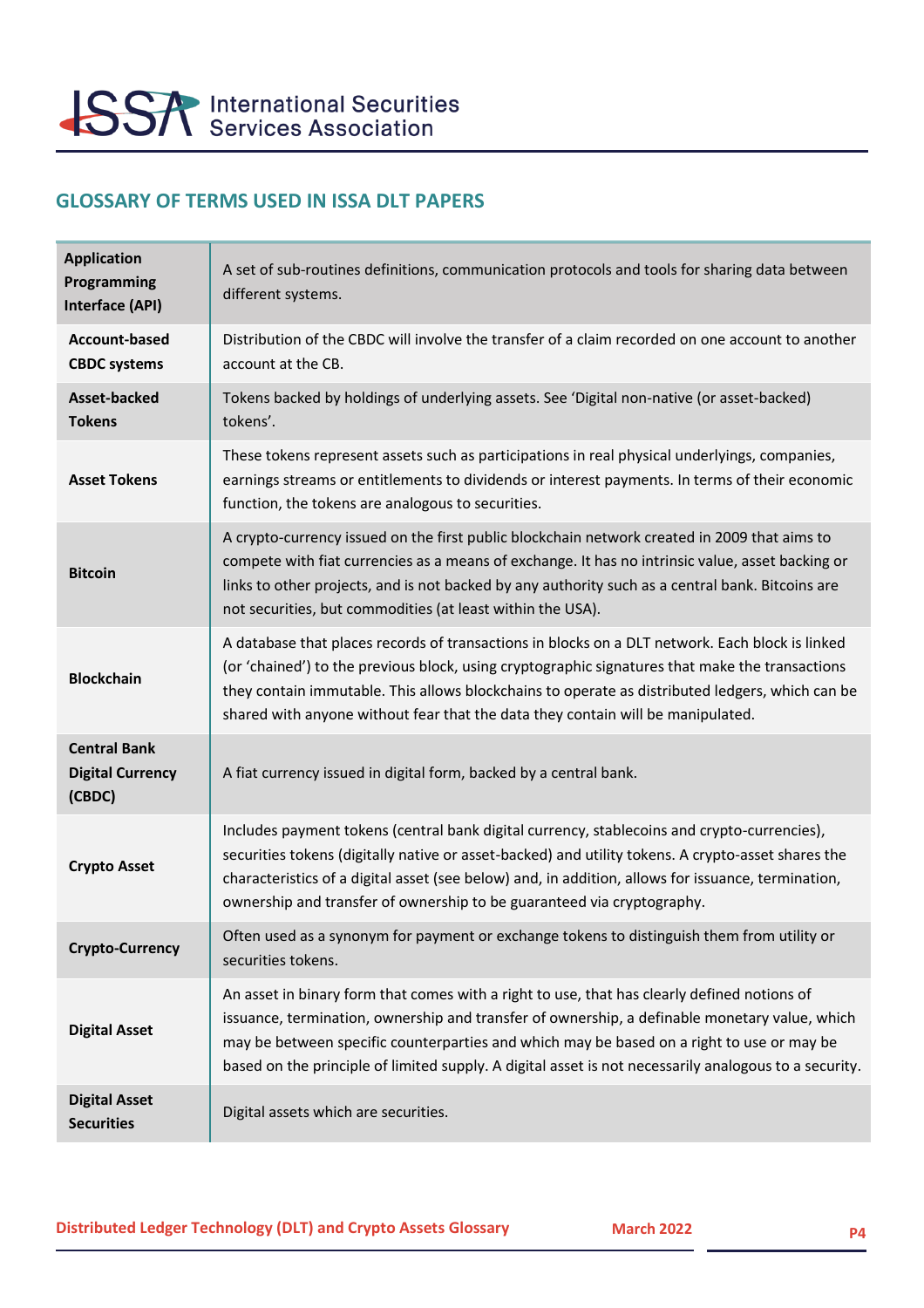

#### **GLOSSARY OF TERMS USED IN ISSA DLT PAPERS**

| <b>Application</b><br>Programming<br>Interface (API)     | A set of sub-routines definitions, communication protocols and tools for sharing data between<br>different systems.                                                                                                                                                                                                                                                                                |
|----------------------------------------------------------|----------------------------------------------------------------------------------------------------------------------------------------------------------------------------------------------------------------------------------------------------------------------------------------------------------------------------------------------------------------------------------------------------|
| <b>Account-based</b><br><b>CBDC</b> systems              | Distribution of the CBDC will involve the transfer of a claim recorded on one account to another<br>account at the CB.                                                                                                                                                                                                                                                                             |
| Asset-backed<br><b>Tokens</b>                            | Tokens backed by holdings of underlying assets. See 'Digital non-native (or asset-backed)<br>tokens'.                                                                                                                                                                                                                                                                                              |
| <b>Asset Tokens</b>                                      | These tokens represent assets such as participations in real physical underlyings, companies,<br>earnings streams or entitlements to dividends or interest payments. In terms of their economic<br>function, the tokens are analogous to securities.                                                                                                                                               |
| <b>Bitcoin</b>                                           | A crypto-currency issued on the first public blockchain network created in 2009 that aims to<br>compete with fiat currencies as a means of exchange. It has no intrinsic value, asset backing or<br>links to other projects, and is not backed by any authority such as a central bank. Bitcoins are<br>not securities, but commodities (at least within the USA).                                 |
| <b>Blockchain</b>                                        | A database that places records of transactions in blocks on a DLT network. Each block is linked<br>(or 'chained') to the previous block, using cryptographic signatures that make the transactions<br>they contain immutable. This allows blockchains to operate as distributed ledgers, which can be<br>shared with anyone without fear that the data they contain will be manipulated.           |
| <b>Central Bank</b><br><b>Digital Currency</b><br>(CBDC) | A fiat currency issued in digital form, backed by a central bank.                                                                                                                                                                                                                                                                                                                                  |
| <b>Crypto Asset</b>                                      | Includes payment tokens (central bank digital currency, stablecoins and crypto-currencies),<br>securities tokens (digitally native or asset-backed) and utility tokens. A crypto-asset shares the<br>characteristics of a digital asset (see below) and, in addition, allows for issuance, termination,<br>ownership and transfer of ownership to be guaranteed via cryptography.                  |
| Crypto-Currency                                          | Often used as a synonym for payment or exchange tokens to distinguish them from utility or<br>securities tokens.                                                                                                                                                                                                                                                                                   |
| <b>Digital Asset</b>                                     | An asset in binary form that comes with a right to use, that has clearly defined notions of<br>issuance, termination, ownership and transfer of ownership, a definable monetary value, which<br>may be between specific counterparties and which may be based on a right to use or may be<br>based on the principle of limited supply. A digital asset is not necessarily analogous to a security. |
| <b>Digital Asset</b><br><b>Securities</b>                | Digital assets which are securities.                                                                                                                                                                                                                                                                                                                                                               |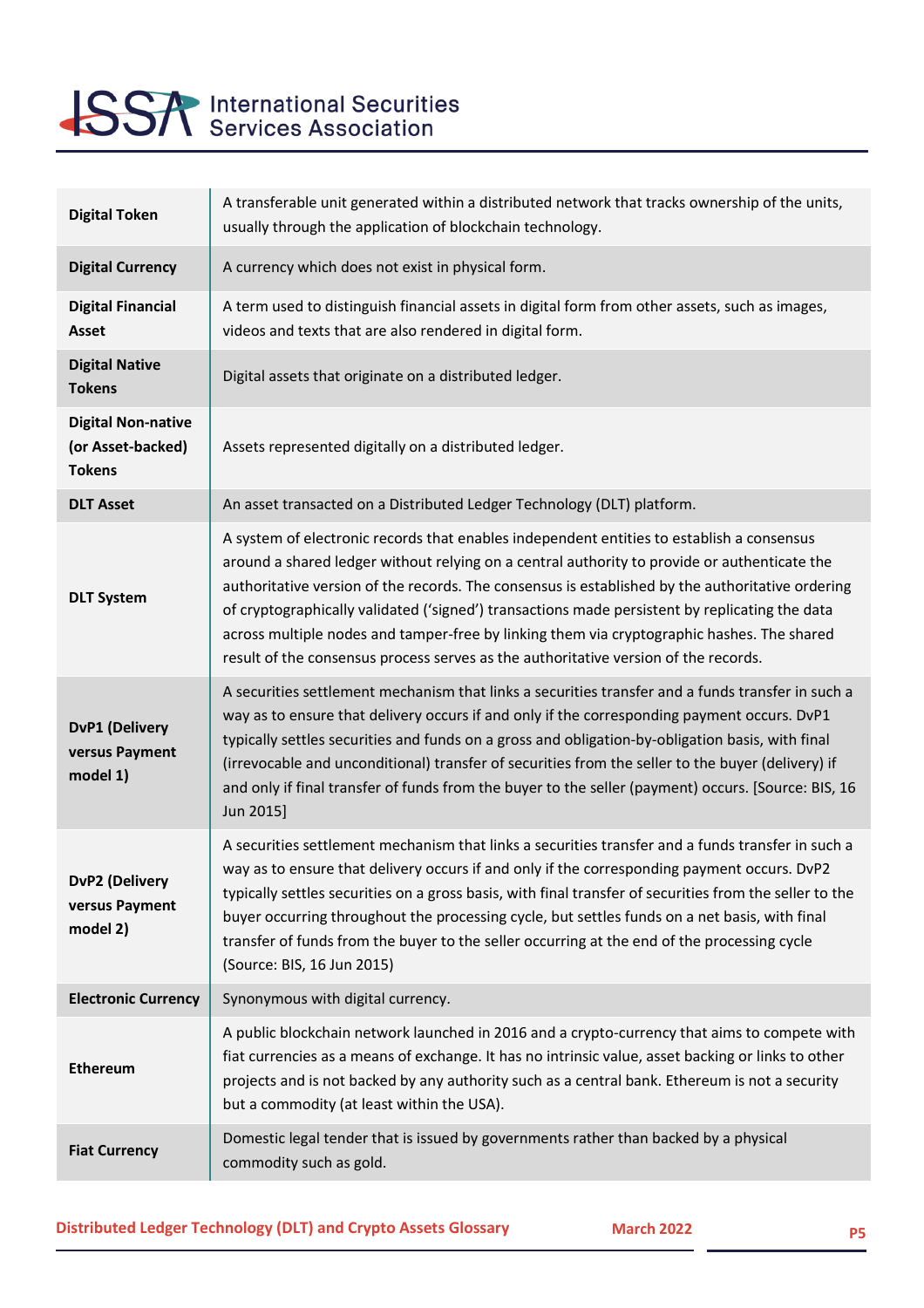

## **SSA** International Securities

| <b>Digital Token</b>                                            | A transferable unit generated within a distributed network that tracks ownership of the units,<br>usually through the application of blockchain technology.                                                                                                                                                                                                                                                                                                                                                                                                                          |
|-----------------------------------------------------------------|--------------------------------------------------------------------------------------------------------------------------------------------------------------------------------------------------------------------------------------------------------------------------------------------------------------------------------------------------------------------------------------------------------------------------------------------------------------------------------------------------------------------------------------------------------------------------------------|
| <b>Digital Currency</b>                                         | A currency which does not exist in physical form.                                                                                                                                                                                                                                                                                                                                                                                                                                                                                                                                    |
| <b>Digital Financial</b><br>Asset                               | A term used to distinguish financial assets in digital form from other assets, such as images,<br>videos and texts that are also rendered in digital form.                                                                                                                                                                                                                                                                                                                                                                                                                           |
| <b>Digital Native</b><br><b>Tokens</b>                          | Digital assets that originate on a distributed ledger.                                                                                                                                                                                                                                                                                                                                                                                                                                                                                                                               |
| <b>Digital Non-native</b><br>(or Asset-backed)<br><b>Tokens</b> | Assets represented digitally on a distributed ledger.                                                                                                                                                                                                                                                                                                                                                                                                                                                                                                                                |
| <b>DLT Asset</b>                                                | An asset transacted on a Distributed Ledger Technology (DLT) platform.                                                                                                                                                                                                                                                                                                                                                                                                                                                                                                               |
| <b>DLT System</b>                                               | A system of electronic records that enables independent entities to establish a consensus<br>around a shared ledger without relying on a central authority to provide or authenticate the<br>authoritative version of the records. The consensus is established by the authoritative ordering<br>of cryptographically validated ('signed') transactions made persistent by replicating the data<br>across multiple nodes and tamper-free by linking them via cryptographic hashes. The shared<br>result of the consensus process serves as the authoritative version of the records. |
| <b>DvP1 (Delivery</b><br>versus Payment<br>model 1)             | A securities settlement mechanism that links a securities transfer and a funds transfer in such a<br>way as to ensure that delivery occurs if and only if the corresponding payment occurs. DvP1<br>typically settles securities and funds on a gross and obligation-by-obligation basis, with final<br>(irrevocable and unconditional) transfer of securities from the seller to the buyer (delivery) if<br>and only if final transfer of funds from the buyer to the seller (payment) occurs. [Source: BIS, 16<br>Jun 2015]                                                        |
| <b>DvP2 (Delivery</b><br>versus Payment<br>model 2)             | A securities settlement mechanism that links a securities transfer and a funds transfer in such a<br>way as to ensure that delivery occurs if and only if the corresponding payment occurs. DvP2<br>typically settles securities on a gross basis, with final transfer of securities from the seller to the<br>buyer occurring throughout the processing cycle, but settles funds on a net basis, with final<br>transfer of funds from the buyer to the seller occurring at the end of the processing cycle<br>(Source: BIS, 16 Jun 2015)                                            |
| <b>Electronic Currency</b>                                      | Synonymous with digital currency.                                                                                                                                                                                                                                                                                                                                                                                                                                                                                                                                                    |
| <b>Ethereum</b>                                                 | A public blockchain network launched in 2016 and a crypto-currency that aims to compete with<br>fiat currencies as a means of exchange. It has no intrinsic value, asset backing or links to other<br>projects and is not backed by any authority such as a central bank. Ethereum is not a security<br>but a commodity (at least within the USA).                                                                                                                                                                                                                                   |
| <b>Fiat Currency</b>                                            | Domestic legal tender that is issued by governments rather than backed by a physical<br>commodity such as gold.                                                                                                                                                                                                                                                                                                                                                                                                                                                                      |

**Distributed Ledger Technology (DLT) and Crypto Assets Glossary March 2022** March 2022

**20212021D**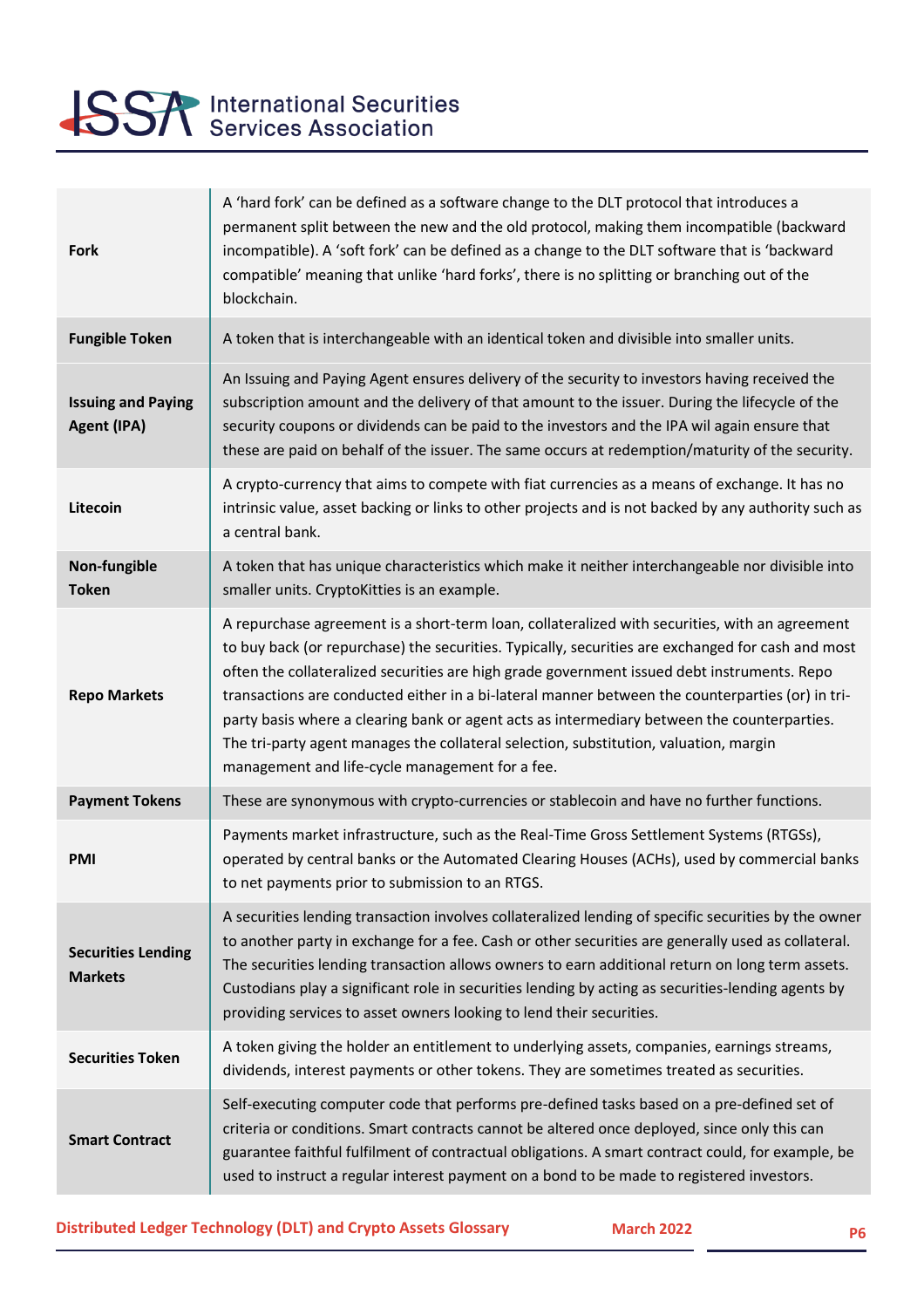

| <b>Fork</b>                                 | A 'hard fork' can be defined as a software change to the DLT protocol that introduces a<br>permanent split between the new and the old protocol, making them incompatible (backward<br>incompatible). A 'soft fork' can be defined as a change to the DLT software that is 'backward<br>compatible' meaning that unlike 'hard forks', there is no splitting or branching out of the<br>blockchain.                                                                                                                                                                                                                                                |
|---------------------------------------------|---------------------------------------------------------------------------------------------------------------------------------------------------------------------------------------------------------------------------------------------------------------------------------------------------------------------------------------------------------------------------------------------------------------------------------------------------------------------------------------------------------------------------------------------------------------------------------------------------------------------------------------------------|
| <b>Fungible Token</b>                       | A token that is interchangeable with an identical token and divisible into smaller units.                                                                                                                                                                                                                                                                                                                                                                                                                                                                                                                                                         |
| <b>Issuing and Paying</b><br>Agent (IPA)    | An Issuing and Paying Agent ensures delivery of the security to investors having received the<br>subscription amount and the delivery of that amount to the issuer. During the lifecycle of the<br>security coupons or dividends can be paid to the investors and the IPA wil again ensure that<br>these are paid on behalf of the issuer. The same occurs at redemption/maturity of the security.                                                                                                                                                                                                                                                |
| Litecoin                                    | A crypto-currency that aims to compete with fiat currencies as a means of exchange. It has no<br>intrinsic value, asset backing or links to other projects and is not backed by any authority such as<br>a central bank.                                                                                                                                                                                                                                                                                                                                                                                                                          |
| Non-fungible<br><b>Token</b>                | A token that has unique characteristics which make it neither interchangeable nor divisible into<br>smaller units. CryptoKitties is an example.                                                                                                                                                                                                                                                                                                                                                                                                                                                                                                   |
| <b>Repo Markets</b>                         | A repurchase agreement is a short-term loan, collateralized with securities, with an agreement<br>to buy back (or repurchase) the securities. Typically, securities are exchanged for cash and most<br>often the collateralized securities are high grade government issued debt instruments. Repo<br>transactions are conducted either in a bi-lateral manner between the counterparties (or) in tri-<br>party basis where a clearing bank or agent acts as intermediary between the counterparties.<br>The tri-party agent manages the collateral selection, substitution, valuation, margin<br>management and life-cycle management for a fee. |
| <b>Payment Tokens</b>                       | These are synonymous with crypto-currencies or stablecoin and have no further functions.                                                                                                                                                                                                                                                                                                                                                                                                                                                                                                                                                          |
| <b>PMI</b>                                  | Payments market infrastructure, such as the Real-Time Gross Settlement Systems (RTGSs),<br>operated by central banks or the Automated Clearing Houses (ACHs), used by commercial banks<br>to net payments prior to submission to an RTGS.                                                                                                                                                                                                                                                                                                                                                                                                         |
| <b>Securities Lending</b><br><b>Markets</b> | A securities lending transaction involves collateralized lending of specific securities by the owner<br>to another party in exchange for a fee. Cash or other securities are generally used as collateral.<br>The securities lending transaction allows owners to earn additional return on long term assets.<br>Custodians play a significant role in securities lending by acting as securities-lending agents by<br>providing services to asset owners looking to lend their securities.                                                                                                                                                       |
| <b>Securities Token</b>                     | A token giving the holder an entitlement to underlying assets, companies, earnings streams,<br>dividends, interest payments or other tokens. They are sometimes treated as securities.                                                                                                                                                                                                                                                                                                                                                                                                                                                            |
| <b>Smart Contract</b>                       | Self-executing computer code that performs pre-defined tasks based on a pre-defined set of<br>criteria or conditions. Smart contracts cannot be altered once deployed, since only this can<br>guarantee faithful fulfilment of contractual obligations. A smart contract could, for example, be<br>used to instruct a regular interest payment on a bond to be made to registered investors.                                                                                                                                                                                                                                                      |
|                                             |                                                                                                                                                                                                                                                                                                                                                                                                                                                                                                                                                                                                                                                   |

**Distributed Ledger Technology (DLT) and Crypto Assets Glossary March 2022** March 2022

**20212021D**